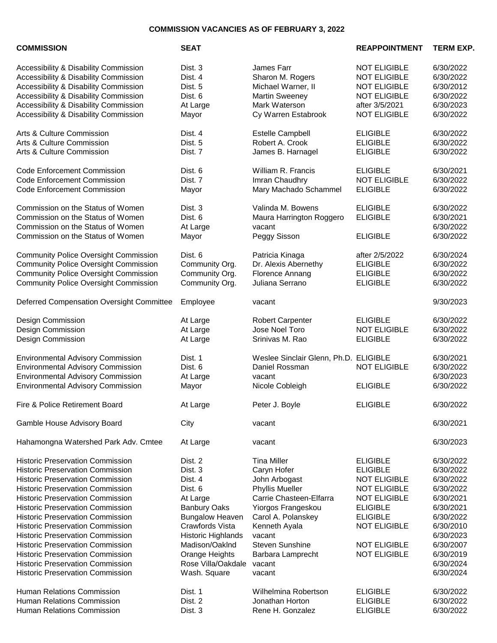## **COMMISSION VACANCIES AS OF FEBRUARY 3, 2022**

| <b>COMMISSION</b>                                                                                                                                                                                                                                                                                                                                                                                                                                                                                                                                                           | <b>SEAT</b>                                                                                                                                                                                                              |                                                                                                                                                                                                                                            | <b>REAPPOINTMENT</b>                                                                                                                                                                                               | <b>TERM EXP.</b>                                                                                                                                                      |
|-----------------------------------------------------------------------------------------------------------------------------------------------------------------------------------------------------------------------------------------------------------------------------------------------------------------------------------------------------------------------------------------------------------------------------------------------------------------------------------------------------------------------------------------------------------------------------|--------------------------------------------------------------------------------------------------------------------------------------------------------------------------------------------------------------------------|--------------------------------------------------------------------------------------------------------------------------------------------------------------------------------------------------------------------------------------------|--------------------------------------------------------------------------------------------------------------------------------------------------------------------------------------------------------------------|-----------------------------------------------------------------------------------------------------------------------------------------------------------------------|
| Accessibility & Disability Commission<br>Accessibility & Disability Commission<br>Accessibility & Disability Commission<br>Accessibility & Disability Commission<br>Accessibility & Disability Commission<br>Accessibility & Disability Commission                                                                                                                                                                                                                                                                                                                          | Dist. 3<br>Dist. 4<br>Dist. 5<br>Dist. 6<br>At Large<br>Mayor                                                                                                                                                            | James Farr<br>Sharon M. Rogers<br>Michael Warner, II<br><b>Martin Sweeney</b><br>Mark Waterson<br>Cy Warren Estabrook                                                                                                                      | <b>NOT ELIGIBLE</b><br><b>NOT ELIGIBLE</b><br><b>NOT ELIGIBLE</b><br><b>NOT ELIGIBLE</b><br>after 3/5/2021<br><b>NOT ELIGIBLE</b>                                                                                  | 6/30/2022<br>6/30/2022<br>6/30/2012<br>6/30/2022<br>6/30/2023<br>6/30/2022                                                                                            |
| Arts & Culture Commission<br>Arts & Culture Commission<br>Arts & Culture Commission                                                                                                                                                                                                                                                                                                                                                                                                                                                                                         | Dist. 4<br>Dist. 5<br>Dist. 7                                                                                                                                                                                            | <b>Estelle Campbell</b><br>Robert A. Crook<br>James B. Harnagel                                                                                                                                                                            | <b>ELIGIBLE</b><br><b>ELIGIBLE</b><br><b>ELIGIBLE</b>                                                                                                                                                              | 6/30/2022<br>6/30/2022<br>6/30/2022                                                                                                                                   |
| <b>Code Enforcement Commission</b><br><b>Code Enforcement Commission</b><br><b>Code Enforcement Commission</b>                                                                                                                                                                                                                                                                                                                                                                                                                                                              | Dist. 6<br>Dist. 7<br>Mayor                                                                                                                                                                                              | William R. Francis<br>Imran Chaudhry<br>Mary Machado Schammel                                                                                                                                                                              | <b>ELIGIBLE</b><br><b>NOT ELIGIBLE</b><br><b>ELIGIBLE</b>                                                                                                                                                          | 6/30/2021<br>6/30/2022<br>6/30/2022                                                                                                                                   |
| Commission on the Status of Women<br>Commission on the Status of Women<br>Commission on the Status of Women<br>Commission on the Status of Women                                                                                                                                                                                                                                                                                                                                                                                                                            | Dist. 3<br>Dist. 6<br>At Large<br>Mayor                                                                                                                                                                                  | Valinda M. Bowens<br>Maura Harrington Roggero<br>vacant<br>Peggy Sisson                                                                                                                                                                    | <b>ELIGIBLE</b><br><b>ELIGIBLE</b><br><b>ELIGIBLE</b>                                                                                                                                                              | 6/30/2022<br>6/30/2021<br>6/30/2022<br>6/30/2022                                                                                                                      |
| <b>Community Police Oversight Commission</b><br><b>Community Police Oversight Commission</b><br><b>Community Police Oversight Commission</b><br><b>Community Police Oversight Commission</b>                                                                                                                                                                                                                                                                                                                                                                                | Dist. 6<br>Community Org.<br>Community Org.<br>Community Org.                                                                                                                                                            | Patricia Kinaga<br>Dr. Alexis Abernethy<br>Florence Annang<br>Juliana Serrano                                                                                                                                                              | after 2/5/2022<br><b>ELIGIBLE</b><br><b>ELIGIBLE</b><br><b>ELIGIBLE</b>                                                                                                                                            | 6/30/2024<br>6/30/2022<br>6/30/2022<br>6/30/2022                                                                                                                      |
| Deferred Compensation Oversight Committee                                                                                                                                                                                                                                                                                                                                                                                                                                                                                                                                   | Employee                                                                                                                                                                                                                 | vacant                                                                                                                                                                                                                                     |                                                                                                                                                                                                                    | 9/30/2023                                                                                                                                                             |
| Design Commission<br>Design Commission<br>Design Commission                                                                                                                                                                                                                                                                                                                                                                                                                                                                                                                 | At Large<br>At Large<br>At Large                                                                                                                                                                                         | <b>Robert Carpenter</b><br>Jose Noel Toro<br>Srinivas M. Rao                                                                                                                                                                               | <b>ELIGIBLE</b><br><b>NOT ELIGIBLE</b><br><b>ELIGIBLE</b>                                                                                                                                                          | 6/30/2022<br>6/30/2022<br>6/30/2022                                                                                                                                   |
| <b>Environmental Advisory Commission</b><br><b>Environmental Advisory Commission</b><br><b>Environmental Advisory Commission</b><br><b>Environmental Advisory Commission</b>                                                                                                                                                                                                                                                                                                                                                                                                | Dist. 1<br>Dist. 6<br>At Large<br>Mayor                                                                                                                                                                                  | Weslee Sinclair Glenn, Ph.D. ELIGIBLE<br>Daniel Rossman<br>vacant<br>Nicole Cobleigh                                                                                                                                                       | <b>NOT ELIGIBLE</b><br><b>ELIGIBLE</b>                                                                                                                                                                             | 6/30/2021<br>6/30/2022<br>6/30/2023<br>6/30/2022                                                                                                                      |
| Fire & Police Retirement Board                                                                                                                                                                                                                                                                                                                                                                                                                                                                                                                                              | At Large                                                                                                                                                                                                                 | Peter J. Boyle                                                                                                                                                                                                                             | <b>ELIGIBLE</b>                                                                                                                                                                                                    | 6/30/2022                                                                                                                                                             |
| Gamble House Advisory Board                                                                                                                                                                                                                                                                                                                                                                                                                                                                                                                                                 | City                                                                                                                                                                                                                     | vacant                                                                                                                                                                                                                                     |                                                                                                                                                                                                                    | 6/30/2021                                                                                                                                                             |
| Hahamongna Watershed Park Adv. Cmtee                                                                                                                                                                                                                                                                                                                                                                                                                                                                                                                                        | At Large                                                                                                                                                                                                                 | vacant                                                                                                                                                                                                                                     |                                                                                                                                                                                                                    | 6/30/2023                                                                                                                                                             |
| <b>Historic Preservation Commission</b><br><b>Historic Preservation Commission</b><br><b>Historic Preservation Commission</b><br><b>Historic Preservation Commission</b><br><b>Historic Preservation Commission</b><br><b>Historic Preservation Commission</b><br><b>Historic Preservation Commission</b><br><b>Historic Preservation Commission</b><br><b>Historic Preservation Commission</b><br><b>Historic Preservation Commission</b><br><b>Historic Preservation Commission</b><br><b>Historic Preservation Commission</b><br><b>Historic Preservation Commission</b> | Dist. 2<br>Dist. 3<br>Dist. 4<br>Dist. 6<br>At Large<br><b>Banbury Oaks</b><br><b>Bungalow Heaven</b><br>Crawfords Vista<br>Historic Highlands<br>Madison/OakInd<br>Orange Heights<br>Rose Villa/Oakdale<br>Wash. Square | <b>Tina Miller</b><br>Caryn Hofer<br>John Arbogast<br>Phyllis Mueller<br>Carrie Chasteen-Elfarra<br>Yiorgos Frangeskou<br>Carol A. Polanskey<br>Kenneth Ayala<br>vacant<br><b>Steven Sunshine</b><br>Barbara Lamprecht<br>vacant<br>vacant | <b>ELIGIBLE</b><br><b>ELIGIBLE</b><br><b>NOT ELIGIBLE</b><br><b>NOT ELIGIBLE</b><br><b>NOT ELIGIBLE</b><br><b>ELIGIBLE</b><br><b>ELIGIBLE</b><br><b>NOT ELIGIBLE</b><br><b>NOT ELIGIBLE</b><br><b>NOT ELIGIBLE</b> | 6/30/2022<br>6/30/2022<br>6/30/2022<br>6/30/2022<br>6/30/2021<br>6/30/2021<br>6/30/2022<br>6/30/2010<br>6/30/2023<br>6/30/2007<br>6/30/2019<br>6/30/2024<br>6/30/2024 |
| Human Relations Commission<br>Human Relations Commission<br>Human Relations Commission                                                                                                                                                                                                                                                                                                                                                                                                                                                                                      | Dist. 1<br>Dist. 2<br>Dist. 3                                                                                                                                                                                            | Wilhelmina Robertson<br>Jonathan Horton<br>Rene H. Gonzalez                                                                                                                                                                                | <b>ELIGIBLE</b><br><b>ELIGIBLE</b><br><b>ELIGIBLE</b>                                                                                                                                                              | 6/30/2022<br>6/30/2022<br>6/30/2022                                                                                                                                   |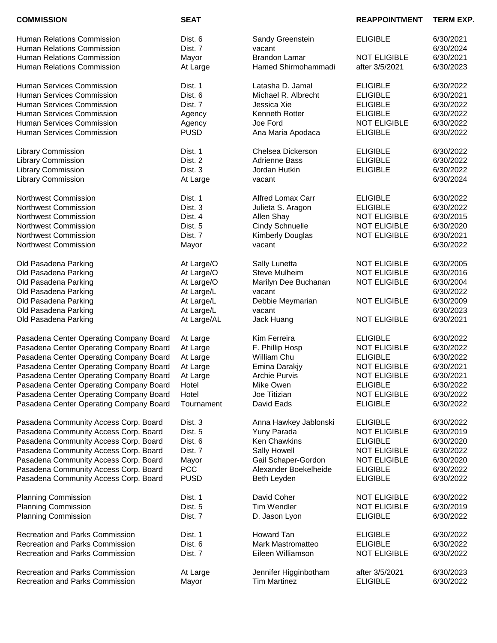Recreation and Parks Commission At Recreation and Parks Commission May

**COMMISSION SEAT REAPPOINTMENT TERM EXP.**

| Human Relations Commission                                                         | Dist. 6     | Sandy Greenstein         | <b>ELIGIBLE</b>     | 6/30/2021 |
|------------------------------------------------------------------------------------|-------------|--------------------------|---------------------|-----------|
| Human Relations Commission                                                         | Dist. 7     | vacant                   |                     | 6/30/2024 |
| Human Relations Commission                                                         | Mayor       | <b>Brandon Lamar</b>     | <b>NOT ELIGIBLE</b> | 6/30/2021 |
| Human Relations Commission                                                         | At Large    | Hamed Shirmohammadi      | after 3/5/2021      | 6/30/2023 |
|                                                                                    |             |                          |                     |           |
| Human Services Commission                                                          | Dist. 1     | Latasha D. Jamal         | <b>ELIGIBLE</b>     | 6/30/2022 |
| Human Services Commission                                                          | Dist. 6     | Michael R. Albrecht      | <b>ELIGIBLE</b>     | 6/30/2021 |
| Human Services Commission                                                          | Dist. 7     | Jessica Xie              | <b>ELIGIBLE</b>     | 6/30/2022 |
| Human Services Commission                                                          | Agency      | Kenneth Rotter           | <b>ELIGIBLE</b>     | 6/30/2022 |
| Human Services Commission                                                          | Agency      | Joe Ford                 | <b>NOT ELIGIBLE</b> | 6/30/2022 |
| Human Services Commission                                                          | <b>PUSD</b> | Ana Maria Apodaca        | <b>ELIGIBLE</b>     | 6/30/2022 |
| Library Commission                                                                 | Dist. 1     | Chelsea Dickerson        | <b>ELIGIBLE</b>     | 6/30/2022 |
| Library Commission                                                                 | Dist. 2     | <b>Adrienne Bass</b>     | <b>ELIGIBLE</b>     | 6/30/2022 |
| Library Commission                                                                 | Dist. 3     | Jordan Hutkin            | <b>ELIGIBLE</b>     | 6/30/2022 |
| <b>Library Commission</b>                                                          | At Large    | vacant                   |                     | 6/30/2024 |
|                                                                                    |             |                          |                     |           |
| <b>Northwest Commission</b>                                                        | Dist. 1     | <b>Alfred Lomax Carr</b> | <b>ELIGIBLE</b>     | 6/30/2022 |
| Northwest Commission                                                               | Dist. 3     | Julieta S. Aragon        | <b>ELIGIBLE</b>     | 6/30/2022 |
| Northwest Commission                                                               | Dist. 4     | Allen Shay               | <b>NOT ELIGIBLE</b> | 6/30/2015 |
| <b>Northwest Commission</b>                                                        | Dist. 5     | <b>Cindy Schnuelle</b>   | <b>NOT ELIGIBLE</b> | 6/30/2020 |
| <b>Northwest Commission</b>                                                        | Dist. 7     | <b>Kimberly Douglas</b>  | <b>NOT ELIGIBLE</b> | 6/30/2021 |
| <b>Northwest Commission</b>                                                        | Mayor       | vacant                   |                     | 6/30/2022 |
| Old Pasadena Parking                                                               | At Large/O  | Sally Lunetta            | <b>NOT ELIGIBLE</b> | 6/30/2005 |
| Old Pasadena Parking                                                               | At Large/O  | <b>Steve Mulheim</b>     | <b>NOT ELIGIBLE</b> | 6/30/2016 |
| Old Pasadena Parking                                                               | At Large/O  | Marilyn Dee Buchanan     | <b>NOT ELIGIBLE</b> | 6/30/2004 |
| Old Pasadena Parking                                                               | At Large/L  | vacant                   |                     | 6/30/2022 |
| Old Pasadena Parking                                                               | At Large/L  | Debbie Meymarian         | <b>NOT ELIGIBLE</b> | 6/30/2009 |
| Old Pasadena Parking                                                               | At Large/L  | vacant                   |                     | 6/30/2023 |
| Old Pasadena Parking                                                               | At Large/AL | Jack Huang               | <b>NOT ELIGIBLE</b> | 6/30/2021 |
| Pasadena Center Operating Company Board                                            | At Large    | Kim Ferreira             | <b>ELIGIBLE</b>     | 6/30/2022 |
| Pasadena Center Operating Company Board                                            | At Large    | F. Phillip Hosp          | <b>NOT ELIGIBLE</b> | 6/30/2022 |
|                                                                                    |             |                          | <b>ELIGIBLE</b>     | 6/30/2022 |
| Pasadena Center Operating Company Board<br>Pasadena Center Operating Company Board | At Large    | William Chu              | <b>NOT ELIGIBLE</b> |           |
|                                                                                    | At Large    | Emina Darakjy            |                     | 6/30/2021 |
| Pasadena Center Operating Company Board                                            | At Large    | <b>Archie Purvis</b>     | <b>NOT ELIGIBLE</b> | 6/30/2021 |
| Pasadena Center Operating Company Board                                            | Hotel       | Mike Owen                | <b>ELIGIBLE</b>     | 6/30/2022 |
| Pasadena Center Operating Company Board                                            | Hotel       | Joe Titizian             | <b>NOT ELIGIBLE</b> | 6/30/2022 |
| Pasadena Center Operating Company Board                                            | Tournament  | David Eads               | <b>ELIGIBLE</b>     | 6/30/2022 |
| Pasadena Community Access Corp. Board                                              | Dist. 3     | Anna Hawkey Jablonski    | <b>ELIGIBLE</b>     | 6/30/2022 |
| Pasadena Community Access Corp. Board                                              | Dist. 5     | Yuny Parada              | <b>NOT ELIGIBLE</b> | 6/30/2019 |
| Pasadena Community Access Corp. Board                                              | Dist. 6     | Ken Chawkins             | <b>ELIGIBLE</b>     | 6/30/2020 |
| Pasadena Community Access Corp. Board                                              | Dist. 7     | Sally Howell             | <b>NOT ELIGIBLE</b> | 6/30/2022 |
| Pasadena Community Access Corp. Board                                              | Mayor       | Gail Schaper-Gordon      | <b>NOT ELIGIBLE</b> | 6/30/2020 |
| Pasadena Community Access Corp. Board                                              | <b>PCC</b>  | Alexander Boekelheide    | <b>ELIGIBLE</b>     | 6/30/2022 |
| Pasadena Community Access Corp. Board                                              | <b>PUSD</b> | Beth Leyden              | <b>ELIGIBLE</b>     | 6/30/2022 |
| <b>Planning Commission</b>                                                         | Dist. 1     | David Coher              | <b>NOT ELIGIBLE</b> | 6/30/2022 |
| <b>Planning Commission</b>                                                         | Dist. 5     | Tim Wendler              | <b>NOT ELIGIBLE</b> | 6/30/2019 |
| <b>Planning Commission</b>                                                         | Dist. 7     | D. Jason Lyon            | <b>ELIGIBLE</b>     | 6/30/2022 |
|                                                                                    |             |                          |                     |           |
| Recreation and Parks Commission                                                    | Dist. 1     | Howard Tan               | <b>ELIGIBLE</b>     | 6/30/2022 |
| Recreation and Parks Commission                                                    | Dist. 6     | Mark Mastromatteo        | <b>ELIGIBLE</b>     | 6/30/2022 |
| <b>Recreation and Parks Commission</b>                                             | Dist. 7     | Eileen Williamson        | <b>NOT ELIGIBLE</b> | 6/30/2022 |
| Recreation and Parks Commission                                                    | At Large    | Jennifer Higginbotham    | after 3/5/2021      | 6/30/2023 |
| <b>Recreation and Parks Commission</b>                                             | Mavor       | <b>Tim Martinez</b>      | <b>ELIGIBLE</b>     | 6/30/2022 |